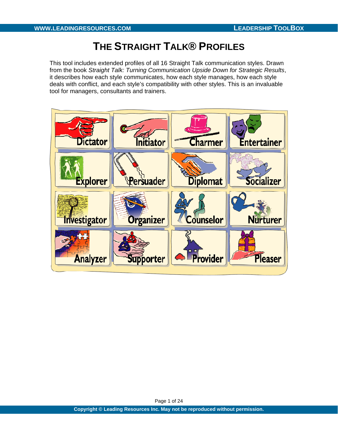# **THE STRAIGHT TALK® PROFILES**

This tool includes extended profiles of all 16 Straight Talk communication styles. Drawn from the book *Straight Talk: Turning Communication Upside Down for Strategic Results*, it describes how each style communicates, how each style manages, how each style deals with conflict, and each style's compatibility with other styles. This is an invaluable tool for managers, consultants and trainers.



Page 1 of 24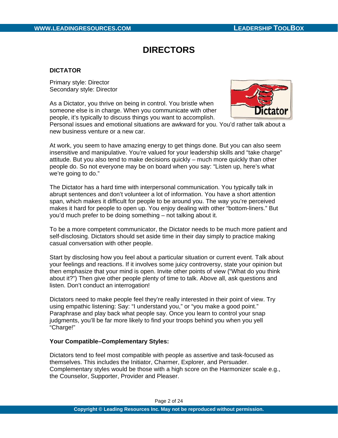# **DIRECTORS**

## **DICTATOR**

Primary style: Director Secondary style: Director

As a Dictator, you thrive on being in control. You bristle when someone else is in charge. When you communicate with other people, it's typically to discuss things you want to accomplish.



Personal issues and emotional situations are awkward for you. You'd rather talk about a new business venture or a new car.

At work, you seem to have amazing energy to get things done. But you can also seem insensitive and manipulative. You're valued for your leadership skills and "take charge" attitude. But you also tend to make decisions quickly – much more quickly than other people do. So not everyone may be on board when you say: "Listen up, here's what we're going to do."

The Dictator has a hard time with interpersonal communication. You typically talk in abrupt sentences and don't volunteer a lot of information. You have a short attention span, which makes it difficult for people to be around you. The way you're perceived makes it hard for people to open up. You enjoy dealing with other "bottom-liners." But you'd much prefer to be doing something – not talking about it.

To be a more competent communicator, the Dictator needs to be much more patient and self-disclosing. Dictators should set aside time in their day simply to practice making casual conversation with other people.

Start by disclosing how you feel about a particular situation or current event. Talk about your feelings and reactions. If it involves some juicy controversy, state your opinion but then emphasize that your mind is open. Invite other points of view ("What do you think about it?") Then give other people plenty of time to talk. Above all, ask questions and listen. Don't conduct an interrogation!

Dictators need to make people feel they're really interested in their point of view. Try using empathic listening: Say: "I understand you," or "you make a good point." Paraphrase and play back what people say. Once you learn to control your snap judgments, you'll be far more likely to find your troops behind you when you yell "Charge!"

## **Your Compatible–Complementary Styles:**

Dictators tend to feel most compatible with people as assertive and task-focused as themselves. This includes the Initiator, Charmer, Explorer, and Persuader. Complementary styles would be those with a high score on the Harmonizer scale e.g., the Counselor, Supporter, Provider and Pleaser.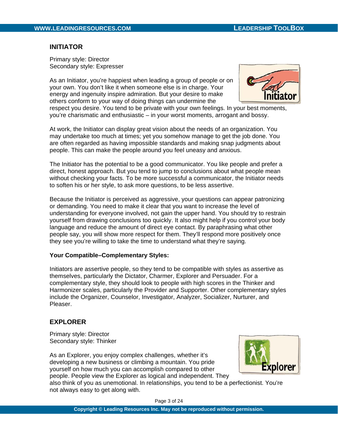# **INITIATOR**

Primary style: Director Secondary style: Expresser

As an Initiator, you're happiest when leading a group of people or on your own. You don't like it when someone else is in charge. Your energy and ingenuity inspire admiration. But your desire to make others conform to your way of doing things can undermine the



respect you desire. You tend to be private with your own feelings. In your best moments, you're charismatic and enthusiastic – in your worst moments, arrogant and bossy.

At work, the Initiator can display great vision about the needs of an organization. You may undertake too much at times; yet you somehow manage to get the job done. You are often regarded as having impossible standards and making snap judgments about people. This can make the people around you feel uneasy and anxious.

The Initiator has the potential to be a good communicator. You like people and prefer a direct, honest approach. But you tend to jump to conclusions about what people mean without checking your facts. To be more successful a communicator, the Initiator needs to soften his or her style, to ask more questions, to be less assertive.

Because the Initiator is perceived as aggressive, your questions can appear patronizing or demanding. You need to make it clear that you want to increase the level of understanding for everyone involved, not gain the upper hand. You should try to restrain yourself from drawing conclusions too quickly. It also might help if you control your body language and reduce the amount of direct eye contact. By paraphrasing what other people say, you will show more respect for them. They'll respond more positively once they see you're willing to take the time to understand what they're saying.

## **Your Compatible–Complementary Styles:**

Initiators are assertive people, so they tend to be compatible with styles as assertive as themselves, particularly the Dictator, Charmer, Explorer and Persuader. For a complementary style, they should look to people with high scores in the Thinker and Harmonizer scales, particularly the Provider and Supporter. Other complementary styles include the Organizer, Counselor, Investigator, Analyzer, Socializer, Nurturer, and Pleaser.

# **EXPLORER**

Primary style: Director Secondary style: Thinker

As an Explorer, you enjoy complex challenges, whether it's developing a new business or climbing a mountain. You pride yourself on how much you can accomplish compared to other people. People view the Explorer as logical and independent. They



also think of you as unemotional. In relationships, you tend to be a perfectionist. You're not always easy to get along with.

Page 3 of 24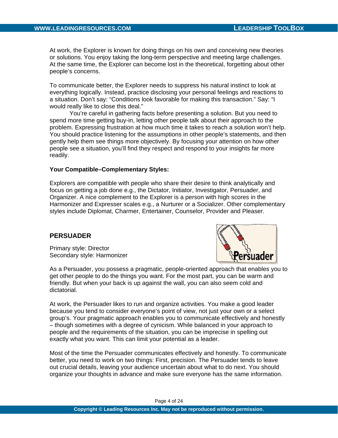At work, the Explorer is known for doing things on his own and conceiving new theories or solutions. You enjoy taking the long-term perspective and meeting large challenges. At the same time, the Explorer can become lost in the theoretical, forgetting about other people's concerns.

To communicate better, the Explorer needs to suppress his natural instinct to look at everything logically. Instead, practice disclosing your personal feelings and reactions to a situation. Don't say: "Conditions look favorable for making this transaction." Say: "I would really like to close this deal."

You're careful in gathering facts before presenting a solution. But you need to spend more time getting buy-in, letting other people talk about their approach to the problem. Expressing frustration at how much time it takes to reach a solution won't help. You should practice listening for the assumptions in other people's statements, and then gently help them see things more objectively. By focusing your attention on how other people see a situation, you'll find they respect and respond to your insights far more readily.

#### **Your Compatible–Complementary Styles:**

Explorers are compatible with people who share their desire to think analytically and focus on getting a job done e.g., the Dictator, Initiator, Investigator, Persuader, and Organizer. A nice complement to the Explorer is a person with high scores in the Harmonizer and Expresser scales e.g., a Nurturer or a Socializer. Other complementary styles include Diplomat, Charmer, Entertainer, Counselor, Provider and Pleaser.

## **PERSUADER**

Primary style: Director Secondary style: Harmonizer



As a Persuader, you possess a pragmatic, people-oriented approach that enables you to get other people to do the things you want. For the most part, you can be warm and friendly. But when your back is up against the wall, you can also seem cold and dictatorial.

At work, the Persuader likes to run and organize activities. You make a good leader because you tend to consider everyone's point of view, not just your own or a select group's. Your pragmatic approach enables you to communicate effectively and honestly – though sometimes with a degree of cynicism. While balanced in your approach to people and the requirements of the situation, you can be imprecise in spelling out exactly what you want. This can limit your potential as a leader.

Most of the time the Persuader communicates effectively and honestly. To communicate better, you need to work on two things: First, precision. The Persuader tends to leave out crucial details, leaving your audience uncertain about what to do next. You should organize your thoughts in advance and make sure everyone has the same information.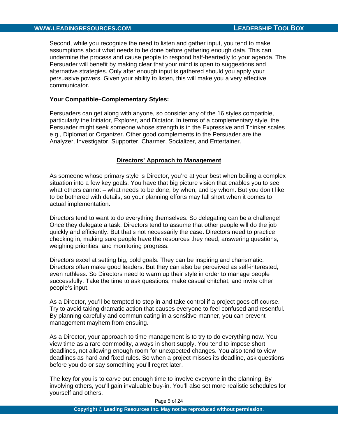Second, while you recognize the need to listen and gather input, you tend to make assumptions about what needs to be done before gathering enough data. This can undermine the process and cause people to respond half-heartedly to your agenda. The Persuader will benefit by making clear that your mind is open to suggestions and alternative strategies. Only after enough input is gathered should you apply your persuasive powers. Given your ability to listen, this will make you a very effective communicator.

## **Your Compatible–Complementary Styles:**

Persuaders can get along with anyone, so consider any of the 16 styles compatible, particularly the Initiator, Explorer, and Dictator. In terms of a complementary style, the Persuader might seek someone whose strength is in the Expressive and Thinker scales e.g., Diplomat or Organizer. Other good complements to the Persuader are the Analyzer, Investigator, Supporter, Charmer, Socializer, and Entertainer.

## **Directors' Approach to Management**

As someone whose primary style is Director, you're at your best when boiling a complex situation into a few key goals. You have that big picture vision that enables you to see what others cannot – what needs to be done, by when, and by whom. But you don't like to be bothered with details, so your planning efforts may fall short when it comes to actual implementation.

Directors tend to want to do everything themselves. So delegating can be a challenge! Once they delegate a task, Directors tend to assume that other people will do the job quickly and efficiently. But that's not necessarily the case. Directors need to practice checking in, making sure people have the resources they need, answering questions, weighing priorities, and monitoring progress.

Directors excel at setting big, bold goals. They can be inspiring and charismatic. Directors often make good leaders. But they can also be perceived as self-interested, even ruthless. So Directors need to warm up their style in order to manage people successfully. Take the time to ask questions, make casual chitchat, and invite other people's input.

As a Director, you'll be tempted to step in and take control if a project goes off course. Try to avoid taking dramatic action that causes everyone to feel confused and resentful. By planning carefully and communicating in a sensitive manner, you can prevent management mayhem from ensuing.

As a Director, your approach to time management is to try to do everything now. You view time as a rare commodity, always in short supply. You tend to impose short deadlines, not allowing enough room for unexpected changes. You also tend to view deadlines as hard and fixed rules. So when a project misses its deadline, ask questions before you do or say something you'll regret later.

The key for you is to carve out enough time to involve everyone in the planning. By involving others, you'll gain invaluable buy-in. You'll also set more realistic schedules for yourself and others.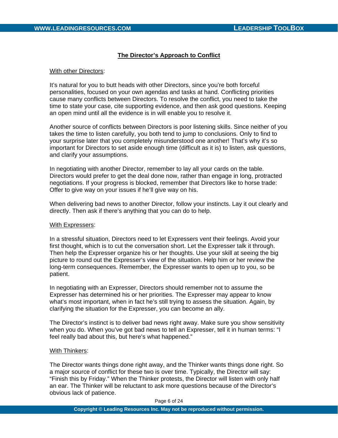## **The Director's Approach to Conflict**

#### With other Directors:

It's natural for you to butt heads with other Directors, since you're both forceful personalities, focused on your own agendas and tasks at hand. Conflicting priorities cause many conflicts between Directors. To resolve the conflict, you need to take the time to state your case, cite supporting evidence, and then ask good questions. Keeping an open mind until all the evidence is in will enable you to resolve it.

Another source of conflicts between Directors is poor listening skills. Since neither of you takes the time to listen carefully, you both tend to jump to conclusions. Only to find to your surprise later that you completely misunderstood one another! That's why it's so important for Directors to set aside enough time (difficult as it is) to listen, ask questions, and clarify your assumptions.

In negotiating with another Director, remember to lay all your cards on the table. Directors would prefer to get the deal done now, rather than engage in long, protracted negotiations. If your progress is blocked, remember that Directors like to horse trade: Offer to give way on your issues if he'll give way on his.

When delivering bad news to another Director, follow your instincts. Lay it out clearly and directly. Then ask if there's anything that you can do to help.

#### With Expressers:

In a stressful situation, Directors need to let Expressers vent their feelings. Avoid your first thought, which is to cut the conversation short. Let the Expresser talk it through. Then help the Expresser organize his or her thoughts. Use your skill at seeing the big picture to round out the Expresser's view of the situation. Help him or her review the long-term consequences. Remember, the Expresser wants to open up to you, so be patient.

In negotiating with an Expresser, Directors should remember not to assume the Expresser has determined his or her priorities. The Expresser may appear to know what's most important, when in fact he's still trying to assess the situation. Again, by clarifying the situation for the Expresser, you can become an ally.

The Director's instinct is to deliver bad news right away. Make sure you show sensitivity when you do. When you've got bad news to tell an Expresser, tell it in human terms: "I feel really bad about this, but here's what happened."

#### With Thinkers:

The Director wants things done right away, and the Thinker wants things done right. So a major source of conflict for these two is over time. Typically, the Director will say: "Finish this by Friday." When the Thinker protests, the Director will listen with only half an ear. The Thinker will be reluctant to ask more questions because of the Director's obvious lack of patience.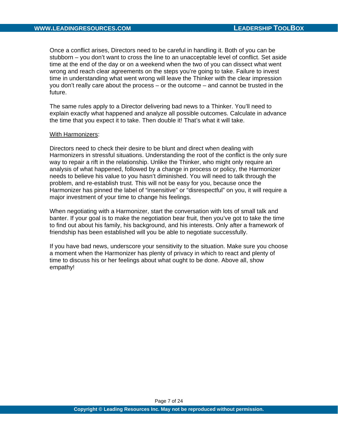Once a conflict arises, Directors need to be careful in handling it. Both of you can be stubborn – you don't want to cross the line to an unacceptable level of conflict. Set aside time at the end of the day or on a weekend when the two of you can dissect what went wrong and reach clear agreements on the steps you're going to take. Failure to invest time in understanding what went wrong will leave the Thinker with the clear impression you don't really care about the process – or the outcome – and cannot be trusted in the future.

The same rules apply to a Director delivering bad news to a Thinker. You'll need to explain exactly what happened and analyze all possible outcomes. Calculate in advance the time that you expect it to take. Then double it! That's what it will take.

#### With Harmonizers:

Directors need to check their desire to be blunt and direct when dealing with Harmonizers in stressful situations. Understanding the root of the conflict is the only sure way to repair a rift in the relationship. Unlike the Thinker, who might only require an analysis of what happened, followed by a change in process or policy, the Harmonizer needs to believe his value to you hasn't diminished. You will need to talk through the problem, and re-establish trust. This will not be easy for you, because once the Harmonizer has pinned the label of "insensitive" or "disrespectful" on you, it will require a major investment of your time to change his feelings.

When negotiating with a Harmonizer, start the conversation with lots of small talk and banter. If your goal is to make the negotiation bear fruit, then you've got to take the time to find out about his family, his background, and his interests. Only after a framework of friendship has been established will you be able to negotiate successfully.

If you have bad news, underscore your sensitivity to the situation. Make sure you choose a moment when the Harmonizer has plenty of privacy in which to react and plenty of time to discuss his or her feelings about what ought to be done. Above all, show empathy!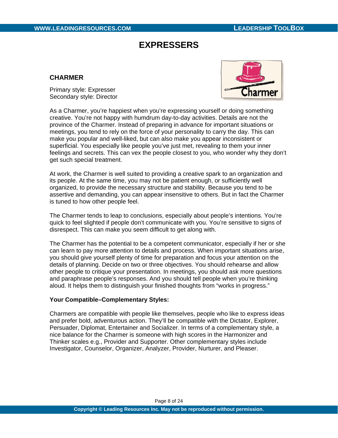# **EXPRESSERS**

# **CHARMER**

Primary style: Expresser Secondary style: Director



As a Charmer, you're happiest when you're expressing yourself or doing something creative. You're not happy with humdrum day-to-day activities. Details are not the province of the Charmer. Instead of preparing in advance for important situations or meetings, you tend to rely on the force of your personality to carry the day. This can make you popular and well-liked, but can also make you appear inconsistent or superficial. You especially like people you've just met, revealing to them your inner feelings and secrets. This can vex the people closest to you, who wonder why they don't get such special treatment.

At work, the Charmer is well suited to providing a creative spark to an organization and its people. At the same time, you may not be patient enough, or sufficiently well organized, to provide the necessary structure and stability. Because you tend to be assertive and demanding, you can appear insensitive to others. But in fact the Charmer is tuned to how other people feel.

The Charmer tends to leap to conclusions, especially about people's intentions. You're quick to feel slighted if people don't communicate with you. You're sensitive to signs of disrespect. This can make you seem difficult to get along with.

The Charmer has the potential to be a competent communicator, especially if her or she can learn to pay more attention to details and process. When important situations arise, you should give yourself plenty of time for preparation and focus your attention on the details of planning. Decide on two or three objectives. You should rehearse and allow other people to critique your presentation. In meetings, you should ask more questions and paraphrase people's responses. And you should tell people when you're thinking aloud. It helps them to distinguish your finished thoughts from "works in progress."

# **Your Compatible–Complementary Styles:**

Charmers are compatible with people like themselves, people who like to express ideas and prefer bold, adventurous action. They'll be compatible with the Dictator, Explorer, Persuader, Diplomat, Entertainer and Socializer. In terms of a complementary style, a nice balance for the Charmer is someone with high scores in the Harmonizer and Thinker scales e.g., Provider and Supporter. Other complementary styles include Investigator, Counselor, Organizer, Analyzer, Provider, Nurturer, and Pleaser.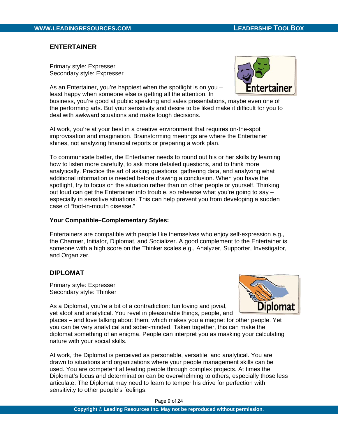# **ENTERTAINER**

Primary style: Expresser Secondary style: Expresser

As an Entertainer, you're happiest when the spotlight is on you – least happy when someone else is getting all the attention. In



business, you're good at public speaking and sales presentations, maybe even one of the performing arts. But your sensitivity and desire to be liked make it difficult for you to deal with awkward situations and make tough decisions.

At work, you're at your best in a creative environment that requires on-the-spot improvisation and imagination. Brainstorming meetings are where the Entertainer shines, not analyzing financial reports or preparing a work plan.

To communicate better, the Entertainer needs to round out his or her skills by learning how to listen more carefully, to ask more detailed questions, and to think more analytically. Practice the art of asking questions, gathering data, and analyzing what additional information is needed before drawing a conclusion. When you have the spotlight, try to focus on the situation rather than on other people or yourself. Thinking out loud can get the Entertainer into trouble, so rehearse what you're going to say – especially in sensitive situations. This can help prevent you from developing a sudden case of "foot-in-mouth disease."

## **Your Compatible–Complementary Styles:**

Entertainers are compatible with people like themselves who enjoy self-expression e.g., the Charmer, Initiator, Diplomat, and Socializer. A good complement to the Entertainer is someone with a high score on the Thinker scales e.g., Analyzer, Supporter, Investigator, and Organizer.

# **DIPLOMAT**

Primary style: Expresser Secondary style: Thinker



As a Diplomat, you're a bit of a contradiction: fun loving and jovial, yet aloof and analytical. You revel in pleasurable things, people, and

places – and love talking about them, which makes you a magnet for other people. Yet you can be very analytical and sober-minded. Taken together, this can make the diplomat something of an enigma. People can interpret you as masking your calculating nature with your social skills.

At work, the Diplomat is perceived as personable, versatile, and analytical. You are drawn to situations and organizations where your people management skills can be used. You are competent at leading people through complex projects. At times the Diplomat's focus and determination can be overwhelming to others, especially those less articulate. The Diplomat may need to learn to temper his drive for perfection with sensitivity to other people's feelings.

Page 9 of 24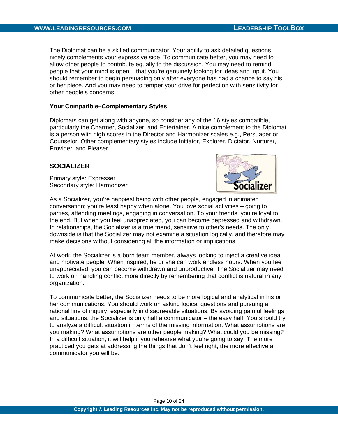The Diplomat can be a skilled communicator. Your ability to ask detailed questions nicely complements your expressive side. To communicate better, you may need to allow other people to contribute equally to the discussion. You may need to remind people that your mind is open – that you're genuinely looking for ideas and input. You should remember to begin persuading only after everyone has had a chance to say his or her piece. And you may need to temper your drive for perfection with sensitivity for other people's concerns.

## **Your Compatible–Complementary Styles:**

Diplomats can get along with anyone, so consider any of the 16 styles compatible, particularly the Charmer, Socializer, and Entertainer. A nice complement to the Diplomat is a person with high scores in the Director and Harmonizer scales e.g., Persuader or Counselor. Other complementary styles include Initiator, Explorer, Dictator, Nurturer, Provider, and Pleaser.

# **SOCIALIZER**

Primary style: Expresser Secondary style: Harmonizer



As a Socializer, you're happiest being with other people, engaged in animated conversation; you're least happy when alone. You love social activities – going to parties, attending meetings, engaging in conversation. To your friends, you're loyal to the end. But when you feel unappreciated, you can become depressed and withdrawn. In relationships, the Socializer is a true friend, sensitive to other's needs. The only downside is that the Socializer may not examine a situation logically, and therefore may make decisions without considering all the information or implications.

At work, the Socializer is a born team member, always looking to inject a creative idea and motivate people. When inspired, he or she can work endless hours. When you feel unappreciated, you can become withdrawn and unproductive. The Socializer may need to work on handling conflict more directly by remembering that conflict is natural in any organization.

To communicate better, the Socializer needs to be more logical and analytical in his or her communications. You should work on asking logical questions and pursuing a rational line of inquiry, especially in disagreeable situations. By avoiding painful feelings and situations, the Socializer is only half a communicator – the easy half. You should try to analyze a difficult situation in terms of the missing information. What assumptions are you making? What assumptions are other people making? What could you be missing? In a difficult situation, it will help if you rehearse what you're going to say. The more practiced you gets at addressing the things that don't feel right, the more effective a communicator you will be.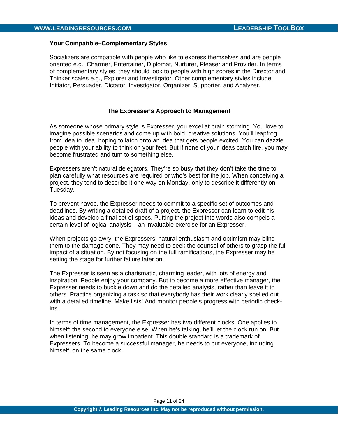#### **Your Compatible–Complementary Styles:**

Socializers are compatible with people who like to express themselves and are people oriented e.g., Charmer, Entertainer, Diplomat, Nurturer, Pleaser and Provider. In terms of complementary styles, they should look to people with high scores in the Director and Thinker scales e.g., Explorer and Investigator. Other complementary styles include Initiator, Persuader, Dictator, Investigator, Organizer, Supporter, and Analyzer.

## **The Expresser's Approach to Management**

As someone whose primary style is Expresser, you excel at brain storming. You love to imagine possible scenarios and come up with bold, creative solutions. You'll leapfrog from idea to idea, hoping to latch onto an idea that gets people excited. You can dazzle people with your ability to think on your feet. But if none of your ideas catch fire, you may become frustrated and turn to something else.

Expressers aren't natural delegators. They're so busy that they don't take the time to plan carefully what resources are required or who's best for the job. When conceiving a project, they tend to describe it one way on Monday, only to describe it differently on Tuesday.

To prevent havoc, the Expresser needs to commit to a specific set of outcomes and deadlines. By writing a detailed draft of a project, the Expresser can learn to edit his ideas and develop a final set of specs. Putting the project into words also compels a certain level of logical analysis – an invaluable exercise for an Expresser.

When projects go awry, the Expressers' natural enthusiasm and optimism may blind them to the damage done. They may need to seek the counsel of others to grasp the full impact of a situation. By not focusing on the full ramifications, the Expresser may be setting the stage for further failure later on.

The Expresser is seen as a charismatic, charming leader, with lots of energy and inspiration. People enjoy your company. But to become a more effective manager, the Expresser needs to buckle down and do the detailed analysis, rather than leave it to others. Practice organizing a task so that everybody has their work clearly spelled out with a detailed timeline. Make lists! And monitor people's progress with periodic checkins.

In terms of time management, the Expresser has two different clocks. One applies to himself; the second to everyone else. When he's talking, he'll let the clock run on. But when listening, he may grow impatient. This double standard is a trademark of Expressers. To become a successful manager, he needs to put everyone, including himself, on the same clock.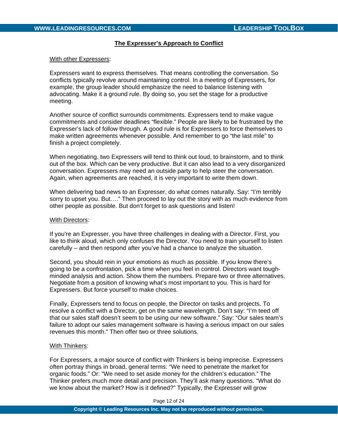## **The Expresser's Approach to Conflict**

#### With other Expressers:

Expressers want to express themselves. That means controlling the conversation. So conflicts typically revolve around maintaining control. In a meeting of Expressers, for example, the group leader should emphasize the need to balance listening with advocating. Make it a ground rule. By doing so, you set the stage for a productive meeting.

Another source of conflict surrounds commitments. Expressers tend to make vague commitments and consider deadlines "flexible." People are likely to be frustrated by the Expresser's lack of follow through. A good rule is for Expressers to force themselves to make written agreements whenever possible. And remember to go "the last mile" to finish a project completely.

When negotiating, two Expressers will tend to think out loud, to brainstorm, and to think out of the box. Which can be very productive. But it can also lead to a very disorganized conversation. Expressers may need an outside party to help steer the conversation. Again, when agreements are reached, it is very important to write them down.

When delivering bad news to an Expresser, do what comes naturally. Say: "I'm terribly sorry to upset you. But…." Then proceed to lay out the story with as much evidence from other people as possible. But don't forget to ask questions and listen!

#### With Directors:

If you're an Expresser, you have three challenges in dealing with a Director. First, you like to think aloud, which only confuses the Director. You need to train yourself to listen carefully – and then respond after you've had a chance to analyze the situation.

Second, you should rein in your emotions as much as possible. If you know there's going to be a confrontation, pick a time when you feel in control. Directors want toughminded analysis and action. Show them the numbers. Prepare two or three alternatives. Negotiate from a position of knowing what's most important to you. This is hard for Expressers. But force yourself to make choices.

Finally, Expressers tend to focus on people, the Director on tasks and projects. To resolve a conflict with a Director, get on the same wavelength. Don't say: "I'm teed off that our sales staff doesn't seem to be using our new software." Say: "Our sales team's failure to adopt our sales management software is having a serious impact on our sales revenues this month." Then offer two or three solutions.

#### With Thinkers:

For Expressers, a major source of conflict with Thinkers is being imprecise. Expressers often portray things in broad, general terms: "We need to penetrate the market for organic foods." Or: "We need to set aside money for the children's education." The Thinker prefers much more detail and precision. They'll ask many questions. "What do we know about the market? How is it defined?" Typically, the Expresser will grow

Page 12 of 24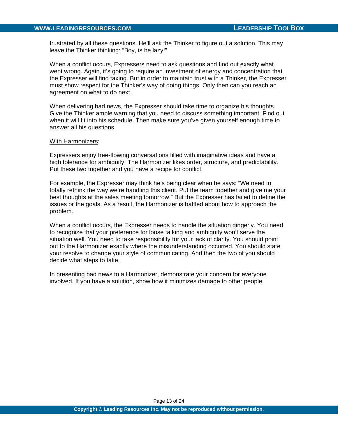frustrated by all these questions. He'll ask the Thinker to figure out a solution. This may leave the Thinker thinking: "Boy, is he lazy!"

When a conflict occurs, Expressers need to ask questions and find out exactly what went wrong. Again, it's going to require an investment of energy and concentration that the Expresser will find taxing. But in order to maintain trust with a Thinker, the Expresser must show respect for the Thinker's way of doing things. Only then can you reach an agreement on what to do next.

When delivering bad news, the Expresser should take time to organize his thoughts. Give the Thinker ample warning that you need to discuss something important. Find out when it will fit into his schedule. Then make sure you've given yourself enough time to answer all his questions.

#### With Harmonizers:

Expressers enjoy free-flowing conversations filled with imaginative ideas and have a high tolerance for ambiguity. The Harmonizer likes order, structure, and predictability. Put these two together and you have a recipe for conflict.

For example, the Expresser may think he's being clear when he says: "We need to totally rethink the way we're handling this client. Put the team together and give me your best thoughts at the sales meeting tomorrow." But the Expresser has failed to define the issues or the goals. As a result, the Harmonizer is baffled about how to approach the problem.

When a conflict occurs, the Expresser needs to handle the situation gingerly. You need to recognize that your preference for loose talking and ambiguity won't serve the situation well. You need to take responsibility for your lack of clarity. You should point out to the Harmonizer exactly where the misunderstanding occurred. You should state your resolve to change your style of communicating. And then the two of you should decide what steps to take.

In presenting bad news to a Harmonizer, demonstrate your concern for everyone involved. If you have a solution, show how it minimizes damage to other people.

Page 13 of 24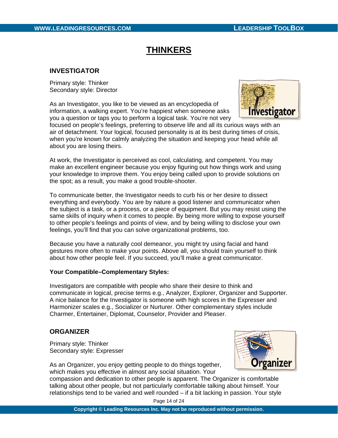# **THINKERS**

# **INVESTIGATOR**

Primary style: Thinker Secondary style: Director

As an Investigator, you like to be viewed as an encyclopedia of information, a walking expert. You're happiest when someone asks you a question or taps you to perform a logical task. You're not very



focused on people's feelings, preferring to observe life and all its curious ways with an air of detachment. Your logical, focused personality is at its best during times of crisis, when you're known for calmly analyzing the situation and keeping your head while all about you are losing theirs.

At work, the Investigator is perceived as cool, calculating, and competent. You may make an excellent engineer because you enjoy figuring out how things work and using your knowledge to improve them. You enjoy being called upon to provide solutions on the spot; as a result, you make a good trouble-shooter.

To communicate better, the Investigator needs to curb his or her desire to dissect everything and everybody. You are by nature a good listener and communicator when the subject is a task, or a process, or a piece of equipment. But you may resist using the same skills of inquiry when it comes to people. By being more willing to expose yourself to other people's feelings and points of view, and by being willing to disclose your own feelings, you'll find that you can solve organizational problems, too.

Because you have a naturally cool demeanor, you might try using facial and hand gestures more often to make your points. Above all, you should train yourself to think about how other people feel. If you succeed, you'll make a great communicator.

## **Your Compatible–Complementary Styles:**

Investigators are compatible with people who share their desire to think and communicate in logical, precise terms e.g., Analyzer, Explorer, Organizer and Supporter. A nice balance for the Investigator is someone with high scores in the Expresser and Harmonizer scales e.g., Socializer or Nurturer. Other complementary styles include Charmer, Entertainer, Diplomat, Counselor, Provider and Pleaser.

# **ORGANIZER**

Primary style: Thinker Secondary style: Expresser



As an Organizer, you enjoy getting people to do things together, which makes you effective in almost any social situation. Your

compassion and dedication to other people is apparent. The Organizer is comfortable talking about other people, but not particularly comfortable talking about himself. Your relationships tend to be varied and well rounded – if a bit lacking in passion. Your style

Page 14 of 24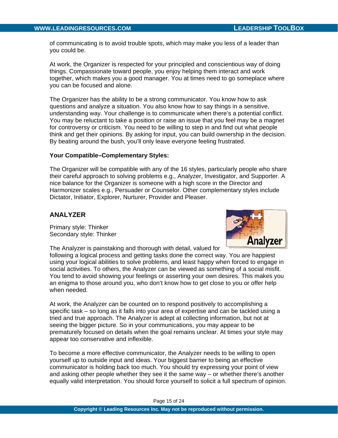of communicating is to avoid trouble spots, which may make you less of a leader than you could be.

At work, the Organizer is respected for your principled and conscientious way of doing things. Compassionate toward people, you enjoy helping them interact and work together, which makes you a good manager. You at times need to go someplace where you can be focused and alone.

The Organizer has the ability to be a strong communicator. You know how to ask questions and analyze a situation. You also know how to say things in a sensitive, understanding way. Your challenge is to communicate when there's a potential conflict. You may be reluctant to take a position or raise an issue that you feel may be a magnet for controversy or criticism. You need to be willing to step in and find out what people think and get their opinions. By asking for input, you can build ownership in the decision. By beating around the bush, you'll only leave everyone feeling frustrated.

## **Your Compatible–Complementary Styles:**

The Organizer will be compatible with any of the 16 styles, particularly people who share their careful approach to solving problems e.g., Analyzer, Investigator, and Supporter. A nice balance for the Organizer is someone with a high score in the Director and Harmonizer scales e.g., Persuader or Counselor. Other complementary styles include Dictator, Initiator, Explorer, Nurturer, Provider and Pleaser.

# **ANALYZER**

Primary style: Thinker Secondary style: Thinker

The Analyzer is painstaking and thorough with detail, valued for



following a logical process and getting tasks done the correct way. You are happiest using your logical abilities to solve problems, and least happy when forced to engage in social activities. To others, the Analyzer can be viewed as something of a social misfit. You tend to avoid showing your feelings or asserting your own desires. This makes you an enigma to those around you, who don't know how to get close to you or offer help when needed.

At work, the Analyzer can be counted on to respond positively to accomplishing a specific task – so long as it falls into your area of expertise and can be tackled using a tried and true approach. The Analyzer is adept at collecting information, but not at seeing the bigger picture. So in your communications, you may appear to be prematurely focused on details when the goal remains unclear. At times your style may appear too conservative and inflexible.

To become a more effective communicator, the Analyzer needs to be willing to open yourself up to outside input and ideas. Your biggest barrier to being an effective communicator is holding back too much. You should try expressing your point of view and asking other people whether they see it the same way – or whether there's another equally valid interpretation. You should force yourself to solicit a full spectrum of opinion.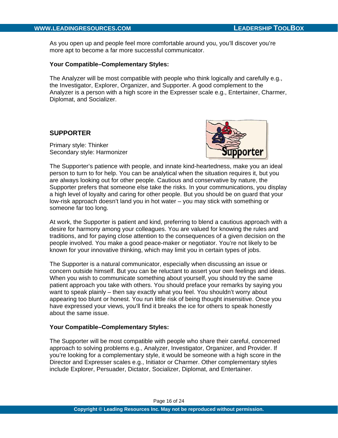As you open up and people feel more comfortable around you, you'll discover you're more apt to become a far more successful communicator.

## **Your Compatible–Complementary Styles:**

The Analyzer will be most compatible with people who think logically and carefully e.g., the Investigator, Explorer, Organizer, and Supporter. A good complement to the Analyzer is a person with a high score in the Expresser scale e.g., Entertainer, Charmer, Diplomat, and Socializer.

# **SUPPORTER**

Primary style: Thinker Secondary style: Harmonizer



The Supporter's patience with people, and innate kind-heartedness, make you an ideal person to turn to for help. You can be analytical when the situation requires it, but you are always looking out for other people. Cautious and conservative by nature, the Supporter prefers that someone else take the risks. In your communications, you display a high level of loyalty and caring for other people. But you should be on guard that your low-risk approach doesn't land you in hot water – you may stick with something or someone far too long.

At work, the Supporter is patient and kind, preferring to blend a cautious approach with a desire for harmony among your colleagues. You are valued for knowing the rules and traditions, and for paying close attention to the consequences of a given decision on the people involved. You make a good peace-maker or negotiator. You're not likely to be known for your innovative thinking, which may limit you in certain types of jobs.

The Supporter is a natural communicator, especially when discussing an issue or concern outside himself. But you can be reluctant to assert your own feelings and ideas. When you wish to communicate something about yourself, you should try the same patient approach you take with others. You should preface your remarks by saying you want to speak plainly – then say exactly what you feel. You shouldn't worry about appearing too blunt or honest. You run little risk of being thought insensitive. Once you have expressed your views, you'll find it breaks the ice for others to speak honestly about the same issue.

# **Your Compatible–Complementary Styles:**

The Supporter will be most compatible with people who share their careful, concerned approach to solving problems e.g., Analyzer, Investigator, Organizer, and Provider. If you're looking for a complementary style, it would be someone with a high score in the Director and Expresser scales e.g., Initiator or Charmer. Other complementary styles include Explorer, Persuader, Dictator, Socializer, Diplomat, and Entertainer.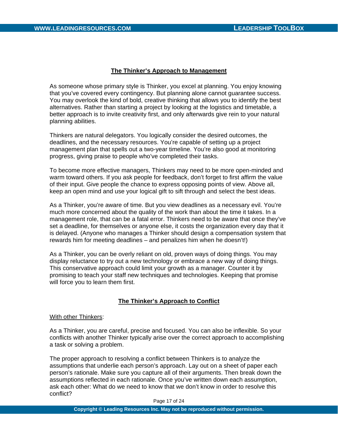## **The Thinker's Approach to Management**

As someone whose primary style is Thinker, you excel at planning. You enjoy knowing that you've covered every contingency. But planning alone cannot guarantee success. You may overlook the kind of bold, creative thinking that allows you to identify the best alternatives. Rather than starting a project by looking at the logistics and timetable, a better approach is to invite creativity first, and only afterwards give rein to your natural planning abilities.

Thinkers are natural delegators. You logically consider the desired outcomes, the deadlines, and the necessary resources. You're capable of setting up a project management plan that spells out a two-year timeline. You're also good at monitoring progress, giving praise to people who've completed their tasks.

To become more effective managers, Thinkers may need to be more open-minded and warm toward others. If you ask people for feedback, don't forget to first affirm the value of their input. Give people the chance to express opposing points of view. Above all, keep an open mind and use your logical gift to sift through and select the best ideas.

As a Thinker, you're aware of time. But you view deadlines as a necessary evil. You're much more concerned about the quality of the work than about the time it takes. In a management role, that can be a fatal error. Thinkers need to be aware that once they've set a deadline, for themselves or anyone else, it costs the organization every day that it is delayed. (Anyone who manages a Thinker should design a compensation system that rewards him for meeting deadlines – and penalizes him when he doesn't!)

As a Thinker, you can be overly reliant on old, proven ways of doing things. You may display reluctance to try out a new technology or embrace a new way of doing things. This conservative approach could limit your growth as a manager. Counter it by promising to teach your staff new techniques and technologies. Keeping that promise will force you to learn them first.

# **The Thinker's Approach to Conflict**

#### With other Thinkers:

As a Thinker, you are careful, precise and focused. You can also be inflexible. So your conflicts with another Thinker typically arise over the correct approach to accomplishing a task or solving a problem.

The proper approach to resolving a conflict between Thinkers is to analyze the assumptions that underlie each person's approach. Lay out on a sheet of paper each person's rationale. Make sure you capture all of their arguments. Then break down the assumptions reflected in each rationale. Once you've written down each assumption, ask each other: What do we need to know that we don't know in order to resolve this conflict?

Page 17 of 24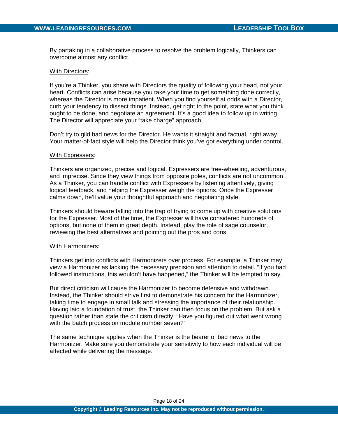By partaking in a collaborative process to resolve the problem logically, Thinkers can overcome almost any conflict.

#### With Directors:

If you're a Thinker, you share with Directors the quality of following your head, not your heart. Conflicts can arise because you take your time to get something done correctly, whereas the Director is more impatient. When you find yourself at odds with a Director, curb your tendency to dissect things. Instead, get right to the point, state what you think ought to be done, and negotiate an agreement. It's a good idea to follow up in writing. The Director will appreciate your "take charge" approach.

Don't try to gild bad news for the Director. He wants it straight and factual, right away. Your matter-of-fact style will help the Director think you've got everything under control.

#### With Expressers:

Thinkers are organized, precise and logical. Expressers are free-wheeling, adventurous, and imprecise. Since they view things from opposite poles, conflicts are not uncommon. As a Thinker, you can handle conflict with Expressers by listening attentively, giving logical feedback, and helping the Expresser weigh the options. Once the Expresser calms down, he'll value your thoughtful approach and negotiating style.

Thinkers should beware falling into the trap of trying to come up with creative solutions for the Expresser. Most of the time, the Expresser will have considered hundreds of options, but none of them in great depth. Instead, play the role of sage counselor, reviewing the best alternatives and pointing out the pros and cons.

#### With Harmonizers:

Thinkers get into conflicts with Harmonizers over process. For example, a Thinker may view a Harmonizer as lacking the necessary precision and attention to detail. "If you had followed instructions, this wouldn't have happened," the Thinker will be tempted to say.

But direct criticism will cause the Harmonizer to become defensive and withdrawn. Instead, the Thinker should strive first to demonstrate his concern for the Harmonizer, taking time to engage in small talk and stressing the importance of their relationship. Having laid a foundation of trust, the Thinker can then focus on the problem. But ask a question rather than state the criticism directly: "Have you figured out what went wrong with the batch process on module number seven?"

The same technique applies when the Thinker is the bearer of bad news to the Harmonizer. Make sure you demonstrate your sensitivity to how each individual will be affected while delivering the message.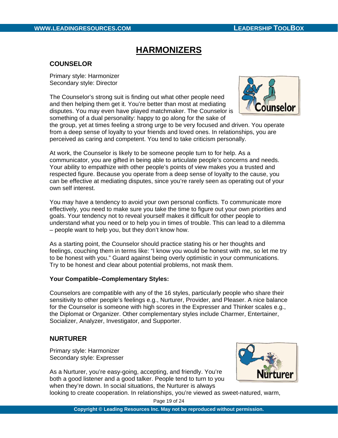# **HARMONIZERS**

# **COUNSELOR**

Primary style: Harmonizer Secondary style: Director

The Counselor's strong suit is finding out what other people need and then helping them get it. You're better than most at mediating disputes. You may even have played matchmaker. The Counselor is something of a dual personality: happy to go along for the sake of



the group, yet at times feeling a strong urge to be very focused and driven. You operate from a deep sense of loyalty to your friends and loved ones. In relationships, you are perceived as caring and competent. You tend to take criticism personally.

At work, the Counselor is likely to be someone people turn to for help. As a communicator, you are gifted in being able to articulate people's concerns and needs. Your ability to empathize with other people's points of view makes you a trusted and respected figure. Because you operate from a deep sense of loyalty to the cause, you can be effective at mediating disputes, since you're rarely seen as operating out of your own self interest.

You may have a tendency to avoid your own personal conflicts. To communicate more effectively, you need to make sure you take the time to figure out your own priorities and goals. Your tendency not to reveal yourself makes it difficult for other people to understand what you need or to help you in times of trouble. This can lead to a dilemma – people want to help you, but they don't know how.

As a starting point, the Counselor should practice stating his or her thoughts and feelings, couching them in terms like: "I know you would be honest with me, so let me try to be honest with you." Guard against being overly optimistic in your communications. Try to be honest and clear about potential problems, not mask them.

## **Your Compatible–Complementary Styles:**

Counselors are compatible with any of the 16 styles, particularly people who share their sensitivity to other people's feelings e.g., Nurturer, Provider, and Pleaser. A nice balance for the Counselor is someone with high scores in the Expresser and Thinker scales e.g., the Diplomat or Organizer. Other complementary styles include Charmer, Entertainer, Socializer, Analyzer, Investigator, and Supporter.

# **NURTURER**

Primary style: Harmonizer Secondary style: Expresser

As a Nurturer, you're easy-going, accepting, and friendly. You're both a good listener and a good talker. People tend to turn to you when they're down. In social situations, the Nurturer is always



looking to create cooperation. In relationships, you're viewed as sweet-natured, warm,

Page 19 of 24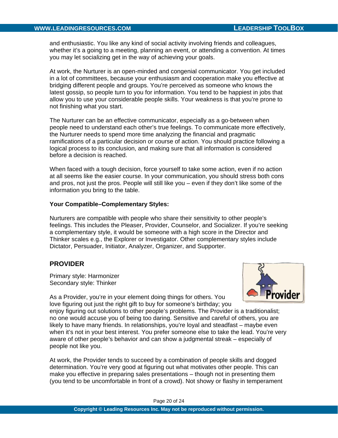and enthusiastic. You like any kind of social activity involving friends and colleagues, whether it's a going to a meeting, planning an event, or attending a convention. At times you may let socializing get in the way of achieving your goals.

At work, the Nurturer is an open-minded and congenial communicator. You get included in a lot of committees, because your enthusiasm and cooperation make you effective at bridging different people and groups. You're perceived as someone who knows the latest gossip, so people turn to you for information. You tend to be happiest in jobs that allow you to use your considerable people skills. Your weakness is that you're prone to not finishing what you start.

The Nurturer can be an effective communicator, especially as a go-between when people need to understand each other's true feelings. To communicate more effectively, the Nurturer needs to spend more time analyzing the financial and pragmatic ramifications of a particular decision or course of action. You should practice following a logical process to its conclusion, and making sure that all information is considered before a decision is reached.

When faced with a tough decision, force yourself to take some action, even if no action at all seems like the easier course. In your communication, you should stress both cons and pros, not just the pros. People will still like you – even if they don't like some of the information you bring to the table.

#### **Your Compatible–Complementary Styles:**

Nurturers are compatible with people who share their sensitivity to other people's feelings. This includes the Pleaser, Provider, Counselor, and Socializer. If you're seeking a complementary style, it would be someone with a high score in the Director and Thinker scales e.g., the Explorer or Investigator. Other complementary styles include Dictator, Persuader, Initiator, Analyzer, Organizer, and Supporter.

# **PROVIDER**

Primary style: Harmonizer Secondary style: Thinker



As a Provider, you're in your element doing things for others. You love figuring out just the right gift to buy for someone's birthday; you

enjoy figuring out solutions to other people's problems. The Provider is a traditionalist; no one would accuse you of being too daring. Sensitive and careful of others, you are likely to have many friends. In relationships, you're loyal and steadfast – maybe even when it's not in your best interest. You prefer someone else to take the lead. You're very aware of other people's behavior and can show a judgmental streak – especially of people not like you.

At work, the Provider tends to succeed by a combination of people skills and dogged determination. You're very good at figuring out what motivates other people. This can make you effective in preparing sales presentations – though not in presenting them (you tend to be uncomfortable in front of a crowd). Not showy or flashy in temperament

Page 20 of 24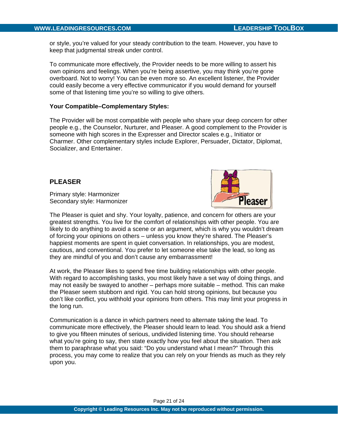or style, you're valued for your steady contribution to the team. However, you have to keep that judgmental streak under control.

To communicate more effectively, the Provider needs to be more willing to assert his own opinions and feelings. When you're being assertive, you may think you're gone overboard. Not to worry! You can be even more so. An excellent listener, the Provider could easily become a very effective communicator if you would demand for yourself some of that listening time you're so willing to give others.

#### **Your Compatible–Complementary Styles:**

The Provider will be most compatible with people who share your deep concern for other people e.g., the Counselor, Nurturer, and Pleaser. A good complement to the Provider is someone with high scores in the Expresser and Director scales e.g., Initiator or Charmer. Other complementary styles include Explorer, Persuader, Dictator, Diplomat, Socializer, and Entertainer.

## **PLEASER**

Primary style: Harmonizer Secondary style: Harmonizer



The Pleaser is quiet and shy. Your loyalty, patience, and concern for others are your greatest strengths. You live for the comfort of relationships with other people. You are likely to do anything to avoid a scene or an argument, which is why you wouldn't dream of forcing your opinions on others – unless you know they're shared. The Pleaser's happiest moments are spent in quiet conversation. In relationships, you are modest, cautious, and conventional. You prefer to let someone else take the lead, so long as they are mindful of you and don't cause any embarrassment!

At work, the Pleaser likes to spend free time building relationships with other people. With regard to accomplishing tasks, you most likely have a set way of doing things, and may not easily be swayed to another – perhaps more suitable – method. This can make the Pleaser seem stubborn and rigid. You can hold strong opinions, but because you don't like conflict, you withhold your opinions from others. This may limit your progress in the long run.

Communication is a dance in which partners need to alternate taking the lead. To communicate more effectively, the Pleaser should learn to lead. You should ask a friend to give you fifteen minutes of serious, undivided listening time. You should rehearse what you're going to say, then state exactly how you feel about the situation. Then ask them to paraphrase what you said: "Do you understand what I mean?" Through this process, you may come to realize that you can rely on your friends as much as they rely upon you.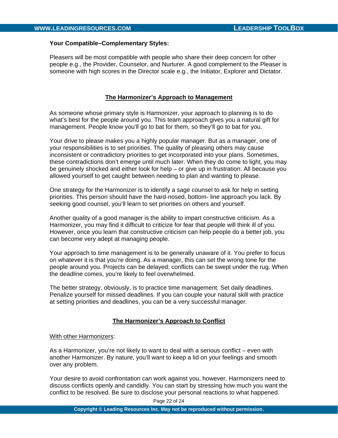## **Your Compatible–Complementary Styles:**

Pleasers will be most compatible with people who share their deep concern for other people e.g., the Provider, Counselor, and Nurturer. A good complement to the Pleaser is someone with high scores in the Director scale e.g., the Initiator, Explorer and Dictator.

# **The Harmonizer's Approach to Management**

As someone whose primary style is Harmonizer, your approach to planning is to do what's best for the people around you. This team approach gives you a natural gift for management. People know you'll go to bat for them, so they'll go to bat for you.

Your drive to please makes you a highly popular manager. But as a manager, one of your responsibilities is to set priorities. The quality of pleasing others may cause inconsistent or contradictory priorities to get incorporated into your plans. Sometimes, these contradictions don't emerge until much later. When they do come to light, you may be genuinely shocked and either look for help – or give up in frustration. All because you allowed yourself to get caught between needing to plan and wanting to please.

One strategy for the Harmonizer is to identify a sage counsel to ask for help in setting priorities. This person should have the hard-nosed, bottom- line approach you lack. By seeking good counsel, you'll learn to set priorities on others and yourself.

Another quality of a good manager is the ability to impart constructive criticism. As a Harmonizer, you may find it difficult to criticize for fear that people will think ill of you. However, once you learn that constructive criticism can help people do a better job, you can become very adept at managing people.

Your approach to time management is to be generally unaware of it. You prefer to focus on whatever it is that you're doing. As a manager, this can set the wrong tone for the people around you. Projects can be delayed; conflicts can be swept under the rug. When the deadline comes, you're likely to feel overwhelmed.

The better strategy, obviously, is to practice time management. Set daily deadlines. Penalize yourself for missed deadlines. If you can couple your natural skill with practice at setting priorities and deadlines, you can be a very successful manager.

# **The Harmonizer's Approach to Conflict**

## With other Harmonizers:

As a Harmonizer, you're not likely to want to deal with a serious conflict – even with another Harmonizer. By nature, you'll want to keep a lid on your feelings and smooth over any problem.

Your desire to avoid confrontation can work against you, however. Harmonizers need to discuss conflicts openly and candidly. You can start by stressing how much you want the conflict to be resolved. Be sure to disclose your personal reactions to what happened.

Page 22 of 24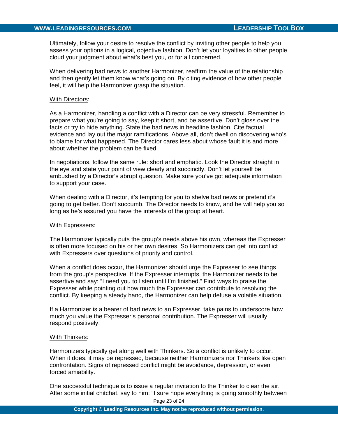Ultimately, follow your desire to resolve the conflict by inviting other people to help you assess your options in a logical, objective fashion. Don't let your loyalties to other people cloud your judgment about what's best you, or for all concerned.

When delivering bad news to another Harmonizer, reaffirm the value of the relationship and then gently let them know what's going on. By citing evidence of how other people feel, it will help the Harmonizer grasp the situation.

#### With Directors:

As a Harmonizer, handling a conflict with a Director can be very stressful. Remember to prepare what you're going to say, keep it short, and be assertive. Don't gloss over the facts or try to hide anything. State the bad news in headline fashion. Cite factual evidence and lay out the major ramifications. Above all, don't dwell on discovering who's to blame for what happened. The Director cares less about whose fault it is and more about whether the problem can be fixed.

In negotiations, follow the same rule: short and emphatic. Look the Director straight in the eye and state your point of view clearly and succinctly. Don't let yourself be ambushed by a Director's abrupt question. Make sure you've got adequate information to support your case.

When dealing with a Director, it's tempting for you to shelve bad news or pretend it's going to get better. Don't succumb. The Director needs to know, and he will help you so long as he's assured you have the interests of the group at heart.

#### With Expressers:

The Harmonizer typically puts the group's needs above his own, whereas the Expresser is often more focused on his or her own desires. So Harmonizers can get into conflict with Expressers over questions of priority and control.

When a conflict does occur, the Harmonizer should urge the Expresser to see things from the group's perspective. If the Expresser interrupts, the Harmonizer needs to be assertive and say: "I need you to listen until I'm finished." Find ways to praise the Expresser while pointing out how much the Expresser can contribute to resolving the conflict. By keeping a steady hand, the Harmonizer can help defuse a volatile situation.

If a Harmonizer is a bearer of bad news to an Expresser, take pains to underscore how much you value the Expresser's personal contribution. The Expresser will usually respond positively.

#### With Thinkers:

Harmonizers typically get along well with Thinkers. So a conflict is unlikely to occur. When it does, it may be repressed, because neither Harmonizers nor Thinkers like open confrontation. Signs of repressed conflict might be avoidance, depression, or even forced amiability.

One successful technique is to issue a regular invitation to the Thinker to clear the air. After some initial chitchat, say to him: "I sure hope everything is going smoothly between